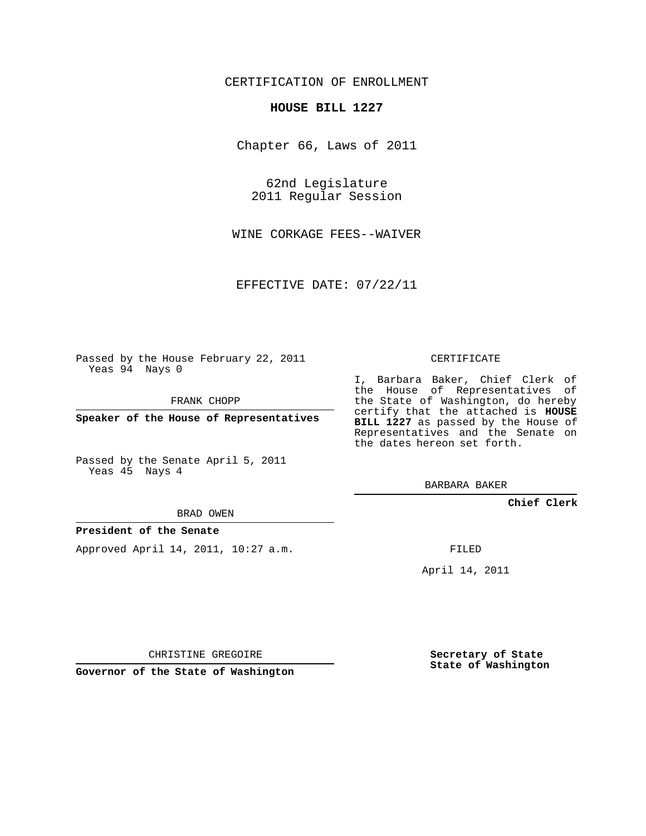## CERTIFICATION OF ENROLLMENT

#### **HOUSE BILL 1227**

Chapter 66, Laws of 2011

62nd Legislature 2011 Regular Session

WINE CORKAGE FEES--WAIVER

EFFECTIVE DATE: 07/22/11

Passed by the House February 22, 2011 Yeas 94 Nays 0

FRANK CHOPP

**Speaker of the House of Representatives**

Passed by the Senate April 5, 2011 Yeas 45 Nays 4

#### BRAD OWEN

### **President of the Senate**

Approved April 14, 2011, 10:27 a.m.

#### CERTIFICATE

I, Barbara Baker, Chief Clerk of the House of Representatives of the State of Washington, do hereby certify that the attached is **HOUSE BILL 1227** as passed by the House of Representatives and the Senate on the dates hereon set forth.

BARBARA BAKER

**Chief Clerk**

FILED

April 14, 2011

CHRISTINE GREGOIRE

**Governor of the State of Washington**

**Secretary of State State of Washington**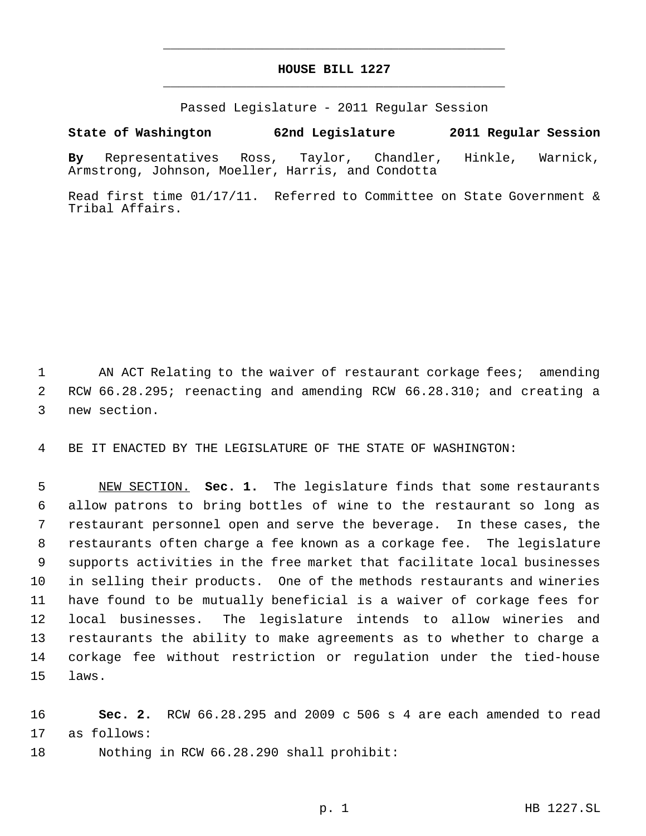# **HOUSE BILL 1227** \_\_\_\_\_\_\_\_\_\_\_\_\_\_\_\_\_\_\_\_\_\_\_\_\_\_\_\_\_\_\_\_\_\_\_\_\_\_\_\_\_\_\_\_\_

\_\_\_\_\_\_\_\_\_\_\_\_\_\_\_\_\_\_\_\_\_\_\_\_\_\_\_\_\_\_\_\_\_\_\_\_\_\_\_\_\_\_\_\_\_

Passed Legislature - 2011 Regular Session

# **State of Washington 62nd Legislature 2011 Regular Session**

**By** Representatives Ross, Taylor, Chandler, Hinkle, Warnick, Armstrong, Johnson, Moeller, Harris, and Condotta

Read first time 01/17/11. Referred to Committee on State Government & Tribal Affairs.

1 AN ACT Relating to the waiver of restaurant corkage fees; amending RCW 66.28.295; reenacting and amending RCW 66.28.310; and creating a new section.

BE IT ENACTED BY THE LEGISLATURE OF THE STATE OF WASHINGTON:

 NEW SECTION. **Sec. 1.** The legislature finds that some restaurants allow patrons to bring bottles of wine to the restaurant so long as restaurant personnel open and serve the beverage. In these cases, the restaurants often charge a fee known as a corkage fee. The legislature supports activities in the free market that facilitate local businesses in selling their products. One of the methods restaurants and wineries have found to be mutually beneficial is a waiver of corkage fees for local businesses. The legislature intends to allow wineries and restaurants the ability to make agreements as to whether to charge a corkage fee without restriction or regulation under the tied-house laws.

 **Sec. 2.** RCW 66.28.295 and 2009 c 506 s 4 are each amended to read as follows:

Nothing in RCW 66.28.290 shall prohibit: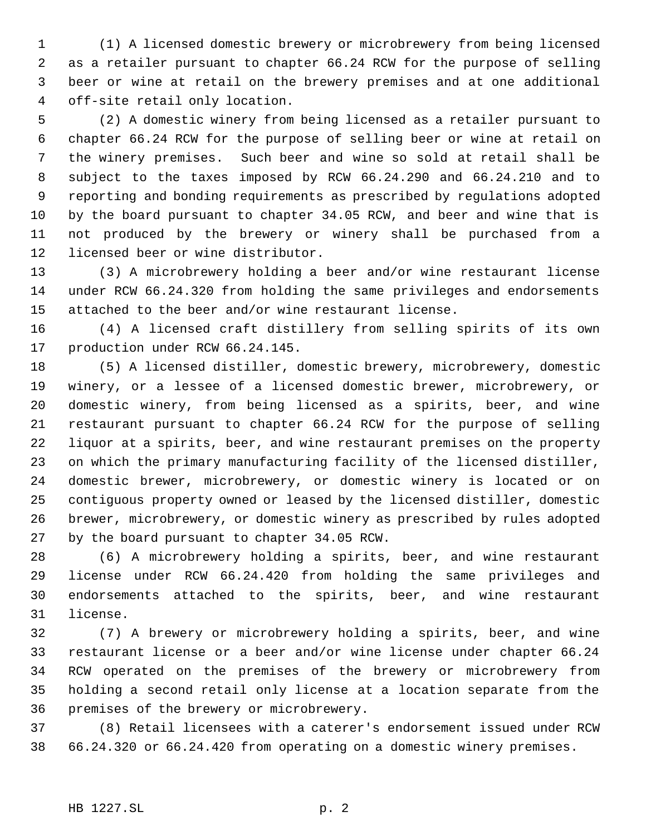(1) A licensed domestic brewery or microbrewery from being licensed as a retailer pursuant to chapter 66.24 RCW for the purpose of selling beer or wine at retail on the brewery premises and at one additional off-site retail only location.

 (2) A domestic winery from being licensed as a retailer pursuant to chapter 66.24 RCW for the purpose of selling beer or wine at retail on the winery premises. Such beer and wine so sold at retail shall be subject to the taxes imposed by RCW 66.24.290 and 66.24.210 and to reporting and bonding requirements as prescribed by regulations adopted by the board pursuant to chapter 34.05 RCW, and beer and wine that is not produced by the brewery or winery shall be purchased from a licensed beer or wine distributor.

 (3) A microbrewery holding a beer and/or wine restaurant license under RCW 66.24.320 from holding the same privileges and endorsements attached to the beer and/or wine restaurant license.

 (4) A licensed craft distillery from selling spirits of its own production under RCW 66.24.145.

 (5) A licensed distiller, domestic brewery, microbrewery, domestic winery, or a lessee of a licensed domestic brewer, microbrewery, or domestic winery, from being licensed as a spirits, beer, and wine restaurant pursuant to chapter 66.24 RCW for the purpose of selling liquor at a spirits, beer, and wine restaurant premises on the property on which the primary manufacturing facility of the licensed distiller, domestic brewer, microbrewery, or domestic winery is located or on contiguous property owned or leased by the licensed distiller, domestic brewer, microbrewery, or domestic winery as prescribed by rules adopted by the board pursuant to chapter 34.05 RCW.

 (6) A microbrewery holding a spirits, beer, and wine restaurant license under RCW 66.24.420 from holding the same privileges and endorsements attached to the spirits, beer, and wine restaurant license.

 (7) A brewery or microbrewery holding a spirits, beer, and wine restaurant license or a beer and/or wine license under chapter 66.24 RCW operated on the premises of the brewery or microbrewery from holding a second retail only license at a location separate from the premises of the brewery or microbrewery.

 (8) Retail licensees with a caterer's endorsement issued under RCW 66.24.320 or 66.24.420 from operating on a domestic winery premises.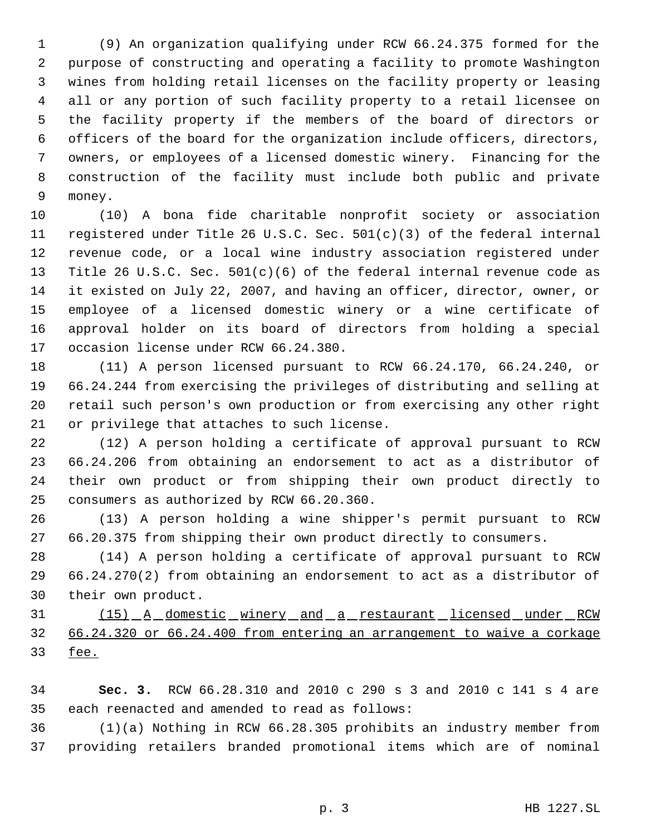(9) An organization qualifying under RCW 66.24.375 formed for the purpose of constructing and operating a facility to promote Washington wines from holding retail licenses on the facility property or leasing all or any portion of such facility property to a retail licensee on the facility property if the members of the board of directors or officers of the board for the organization include officers, directors, owners, or employees of a licensed domestic winery. Financing for the construction of the facility must include both public and private money.

 (10) A bona fide charitable nonprofit society or association registered under Title 26 U.S.C. Sec. 501(c)(3) of the federal internal revenue code, or a local wine industry association registered under Title 26 U.S.C. Sec. 501(c)(6) of the federal internal revenue code as it existed on July 22, 2007, and having an officer, director, owner, or employee of a licensed domestic winery or a wine certificate of approval holder on its board of directors from holding a special occasion license under RCW 66.24.380.

 (11) A person licensed pursuant to RCW 66.24.170, 66.24.240, or 66.24.244 from exercising the privileges of distributing and selling at retail such person's own production or from exercising any other right or privilege that attaches to such license.

 (12) A person holding a certificate of approval pursuant to RCW 66.24.206 from obtaining an endorsement to act as a distributor of their own product or from shipping their own product directly to consumers as authorized by RCW 66.20.360.

 (13) A person holding a wine shipper's permit pursuant to RCW 66.20.375 from shipping their own product directly to consumers.

 (14) A person holding a certificate of approval pursuant to RCW 66.24.270(2) from obtaining an endorsement to act as a distributor of their own product.

31 (15) A domestic winery and a restaurant licensed under RCW 66.24.320 or 66.24.400 from entering an arrangement to waive a corkage fee.

 **Sec. 3.** RCW 66.28.310 and 2010 c 290 s 3 and 2010 c 141 s 4 are each reenacted and amended to read as follows:

 (1)(a) Nothing in RCW 66.28.305 prohibits an industry member from providing retailers branded promotional items which are of nominal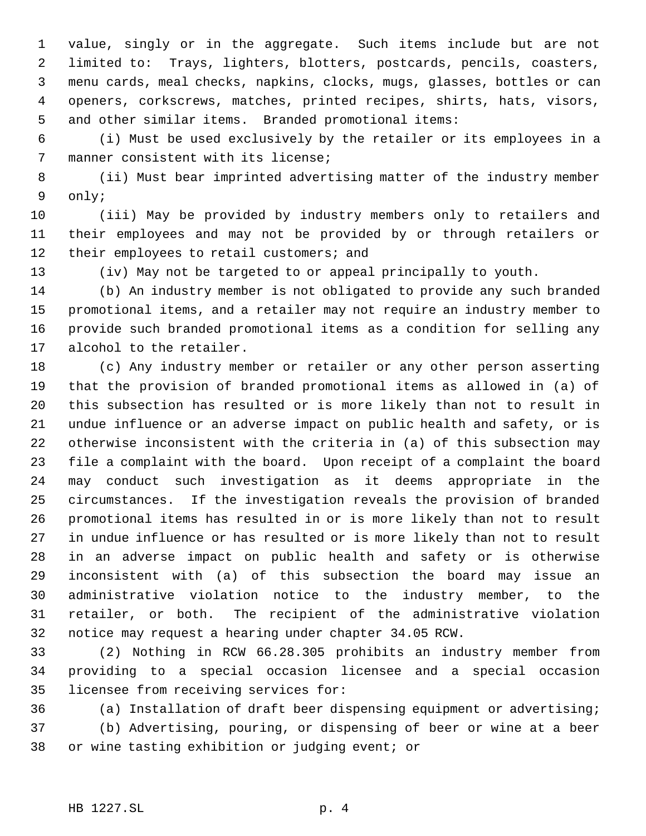value, singly or in the aggregate. Such items include but are not limited to: Trays, lighters, blotters, postcards, pencils, coasters, menu cards, meal checks, napkins, clocks, mugs, glasses, bottles or can openers, corkscrews, matches, printed recipes, shirts, hats, visors, and other similar items. Branded promotional items:

 (i) Must be used exclusively by the retailer or its employees in a manner consistent with its license;

 (ii) Must bear imprinted advertising matter of the industry member only;

 (iii) May be provided by industry members only to retailers and their employees and may not be provided by or through retailers or 12 their employees to retail customers; and

(iv) May not be targeted to or appeal principally to youth.

 (b) An industry member is not obligated to provide any such branded promotional items, and a retailer may not require an industry member to provide such branded promotional items as a condition for selling any alcohol to the retailer.

 (c) Any industry member or retailer or any other person asserting that the provision of branded promotional items as allowed in (a) of this subsection has resulted or is more likely than not to result in undue influence or an adverse impact on public health and safety, or is otherwise inconsistent with the criteria in (a) of this subsection may file a complaint with the board. Upon receipt of a complaint the board may conduct such investigation as it deems appropriate in the circumstances. If the investigation reveals the provision of branded promotional items has resulted in or is more likely than not to result in undue influence or has resulted or is more likely than not to result in an adverse impact on public health and safety or is otherwise inconsistent with (a) of this subsection the board may issue an administrative violation notice to the industry member, to the retailer, or both. The recipient of the administrative violation notice may request a hearing under chapter 34.05 RCW.

 (2) Nothing in RCW 66.28.305 prohibits an industry member from providing to a special occasion licensee and a special occasion licensee from receiving services for:

 (a) Installation of draft beer dispensing equipment or advertising; (b) Advertising, pouring, or dispensing of beer or wine at a beer or wine tasting exhibition or judging event; or

## HB 1227.SL p. 4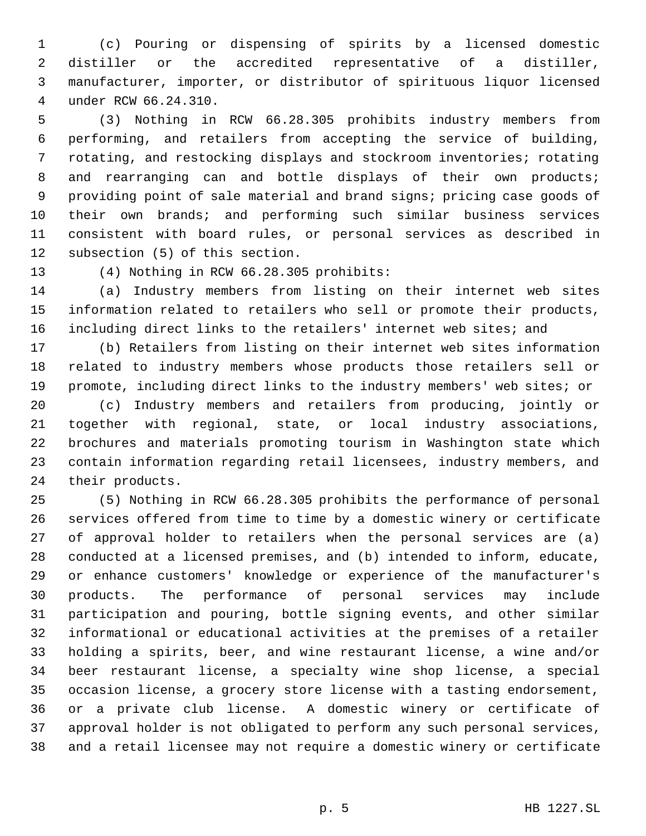(c) Pouring or dispensing of spirits by a licensed domestic distiller or the accredited representative of a distiller, manufacturer, importer, or distributor of spirituous liquor licensed under RCW 66.24.310.

 (3) Nothing in RCW 66.28.305 prohibits industry members from performing, and retailers from accepting the service of building, rotating, and restocking displays and stockroom inventories; rotating 8 and rearranging can and bottle displays of their own products; providing point of sale material and brand signs; pricing case goods of their own brands; and performing such similar business services consistent with board rules, or personal services as described in subsection (5) of this section.

(4) Nothing in RCW 66.28.305 prohibits:

 (a) Industry members from listing on their internet web sites information related to retailers who sell or promote their products, including direct links to the retailers' internet web sites; and

 (b) Retailers from listing on their internet web sites information related to industry members whose products those retailers sell or promote, including direct links to the industry members' web sites; or

 (c) Industry members and retailers from producing, jointly or together with regional, state, or local industry associations, brochures and materials promoting tourism in Washington state which contain information regarding retail licensees, industry members, and their products.

 (5) Nothing in RCW 66.28.305 prohibits the performance of personal services offered from time to time by a domestic winery or certificate of approval holder to retailers when the personal services are (a) conducted at a licensed premises, and (b) intended to inform, educate, or enhance customers' knowledge or experience of the manufacturer's products. The performance of personal services may include participation and pouring, bottle signing events, and other similar informational or educational activities at the premises of a retailer holding a spirits, beer, and wine restaurant license, a wine and/or beer restaurant license, a specialty wine shop license, a special occasion license, a grocery store license with a tasting endorsement, or a private club license. A domestic winery or certificate of approval holder is not obligated to perform any such personal services, and a retail licensee may not require a domestic winery or certificate